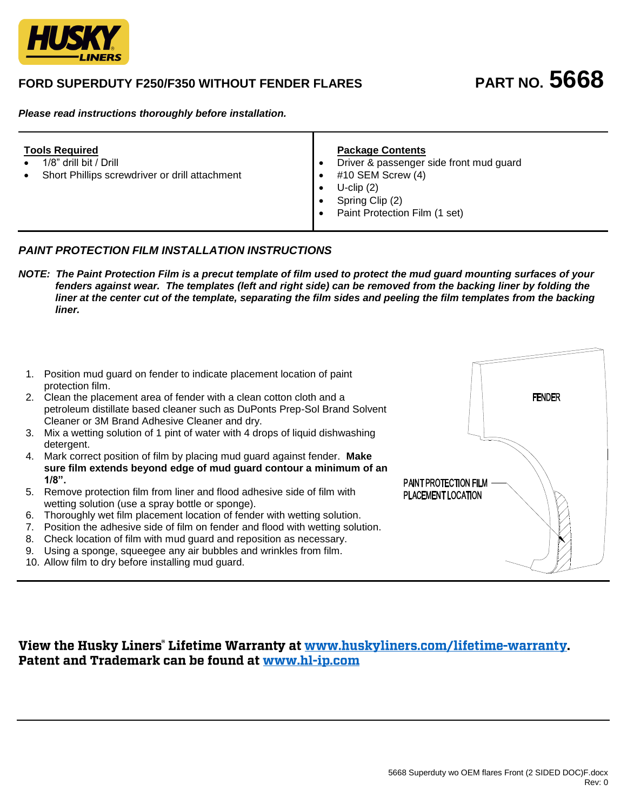

# **FORD SUPERDUTY F250/F350 WITHOUT FENDER FLARES PART NO. 5668**

*Please read instructions thoroughly before installation.*

| <b>Tools Required</b><br>1/8" drill bit / Drill<br>Short Phillips screwdriver or drill attachment<br>$\bullet$ | <b>Package Contents</b><br>Driver & passenger side front mud guard<br>#10 SEM Screw (4)<br>$U$ -clip $(2)$<br>Spring Clip (2)<br>Paint Protection Film (1 set) |
|----------------------------------------------------------------------------------------------------------------|----------------------------------------------------------------------------------------------------------------------------------------------------------------|
|----------------------------------------------------------------------------------------------------------------|----------------------------------------------------------------------------------------------------------------------------------------------------------------|

# *PAINT PROTECTION FILM INSTALLATION INSTRUCTIONS*

*NOTE: The Paint Protection Film is a precut template of film used to protect the mud guard mounting surfaces of your fenders against wear. The templates (left and right side) can be removed from the backing liner by folding the*  liner at the center cut of the template, separating the film sides and peeling the film templates from the backing  *liner.* 



# View the Husky Liners° Lifetime Warranty at www.huskyliners.com/lifetime-warranty. Patent and Trademark can be found at www.hl-ip.com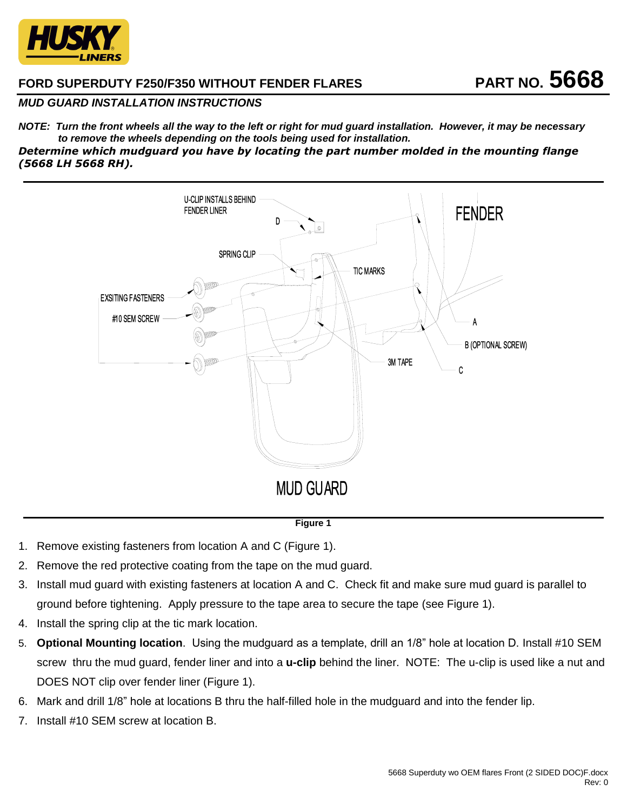

# **FORD SUPERDUTY F250/F350 WITHOUT FENDER FLARES PART NO. 5668**

## *MUD GUARD INSTALLATION INSTRUCTIONS*

*NOTE: Turn the front wheels all the way to the left or right for mud guard installation. However, it may be necessary to remove the wheels depending on the tools being used for installation. Determine which mudguard you have by locating the part number molded in the mounting flange (5668 LH 5668 RH).*



#### **Figure 1**

- 1. Remove existing fasteners from location A and C (Figure 1).
- 2. Remove the red protective coating from the tape on the mud guard.
- 3. Install mud guard with existing fasteners at location A and C. Check fit and make sure mud guard is parallel to ground before tightening. Apply pressure to the tape area to secure the tape (see Figure 1).
- 4. Install the spring clip at the tic mark location.
- 5. **Optional Mounting location**. Using the mudguard as a template, drill an 1/8" hole at location D. Install #10 SEM screw thru the mud guard, fender liner and into a **u-clip** behind the liner. NOTE: The u-clip is used like a nut and DOES NOT clip over fender liner (Figure 1).
- 6. Mark and drill 1/8" hole at locations B thru the half-filled hole in the mudguard and into the fender lip.
- 7. Install #10 SEM screw at location B.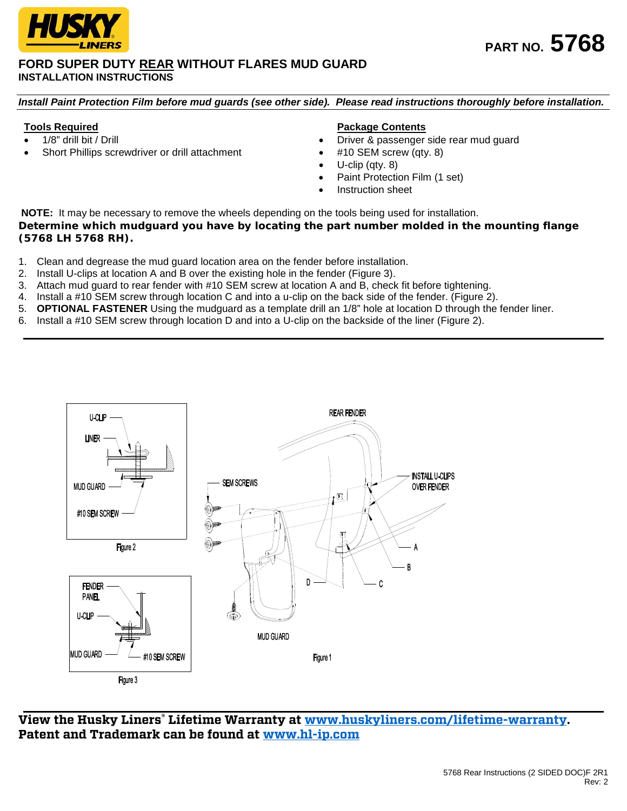

#### **FORD SUPER DUTY REAR WITHOUT FLARES MUD GUARD INSTALLATION INSTRUCTIONS**

*Install Paint Protection Film before mud guards (see other side). Please read instructions thoroughly before installation.*

### **Tools Required**

- 1/8" drill bit / Drill
- Short Phillips screwdriver or drill attachment

### **Package Contents**

- Driver & passenger side rear mud guard
- #10 SEM screw (qty. 8)
- U-clip (qty. 8)
- Paint Protection Film (1 set)
- Instruction sheet

**NOTE:** It may be necessary to remove the wheels depending on the tools being used for installation. *Determine which mudguard you have by locating the part number molded in the mounting flange (5768 LH 5768 RH).*

- 1. Clean and degrease the mud guard location area on the fender before installation.
- 2. Install U-clips at location A and B over the existing hole in the fender (Figure 3).
- 3. Attach mud guard to rear fender with #10 SEM screw at location A and B, check fit before tightening.
- 4. Install a #10 SEM screw through location C and into a u-clip on the back side of the fender. (Figure 2).
- 5. **OPTIONAL FASTENER** Using the mudguard as a template drill an 1/8" hole at location D through the fender liner.
- 6. Install a #10 SEM screw through location D and into a U-clip on the backside of the liner (Figure 2).



**View the Husky Liners® Lifetime Warranty at [www.huskyliners.com/lifetime-warranty.](http://www.huskyliners.com/lifetime-warranty) Patent and Trademark can be found at [www.hl-ip.com](http://www.hl-ip.com/)**